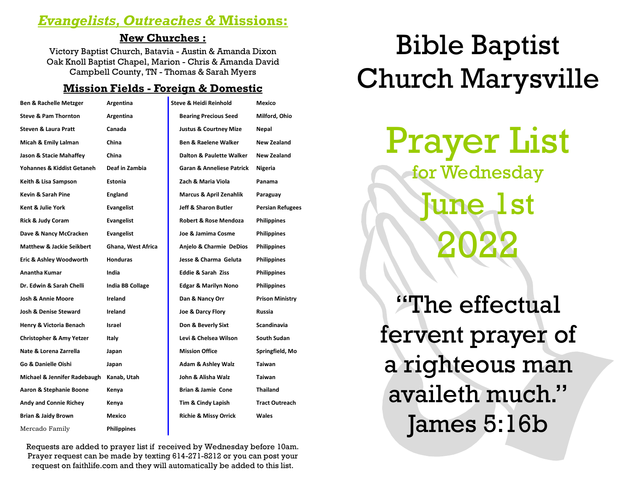### *Evangelists, Outreaches &* **Missions:**

#### **New Churches :**

Victory Baptist Church, Batavia - Austin & Amanda Dixon Oak Knoll Baptist Chapel, Marion - Chris & Amanda David Campbell County, TN - Thomas & Sarah Myers

#### **Mission Fields - Foreign & Domestic**

| <b>Ben &amp; Rachelle Metzger</b>    | Argentina          | <b>Steve &amp; Heidi Reinhold</b>    | Mexico                  |
|--------------------------------------|--------------------|--------------------------------------|-------------------------|
| <b>Steve &amp; Pam Thornton</b>      | Argentina          | <b>Bearing Precious Seed</b>         | Milford, Ohio           |
| <b>Steven &amp; Laura Pratt</b>      | Canada             | <b>Justus &amp; Courtney Mize</b>    | Nepal                   |
| Micah & Emily Lalman                 | China              | <b>Ben &amp; Raelene Walker</b>      | <b>New Zealand</b>      |
| Jason & Stacie Mahaffey              | China              | <b>Dalton &amp; Paulette Walker</b>  | <b>New Zealand</b>      |
| Yohannes & Kiddist Getaneh           | Deaf in Zambia     | <b>Garan &amp; Anneliese Patrick</b> | Nigeria                 |
| Keith & Lisa Sampson                 | Estonia            | Zach & Maria Viola                   | Panama                  |
| Kevin & Sarah Pine                   | England            | Marcus & April Zenahlik              | Paraguay                |
| Kent & Julie York                    | <b>Evangelist</b>  | <b>Jeff &amp; Sharon Butler</b>      | <b>Persian Refugees</b> |
| <b>Rick &amp; Judy Coram</b>         | <b>Evangelist</b>  | <b>Robert &amp; Rose Mendoza</b>     | <b>Philippines</b>      |
| Dave & Nancy McCracken               | <b>Evangelist</b>  | Joe & Jamima Cosme                   | <b>Philippines</b>      |
| <b>Matthew &amp; Jackie Seikbert</b> | Ghana, West Africa | Anjelo & Charmie DeDios              | <b>Philippines</b>      |
| Eric & Ashley Woodworth              | <b>Honduras</b>    | Jesse & Charma Geluta                | <b>Philippines</b>      |
| Anantha Kumar                        | India              | <b>Eddie &amp; Sarah Ziss</b>        | <b>Philippines</b>      |
| Dr. Edwin & Sarah Chelli             | India BB Collage   | <b>Edgar &amp; Marilyn Nono</b>      | <b>Philippines</b>      |
| <b>Josh &amp; Annie Moore</b>        | Ireland            | Dan & Nancy Orr                      | <b>Prison Ministry</b>  |
| <b>Josh &amp; Denise Steward</b>     | Ireland            | Joe & Darcy Flory                    | Russia                  |
| Henry & Victoria Benach              | Israel             | Don & Beverly Sixt                   | Scandinavia             |
| <b>Christopher &amp; Amy Yetzer</b>  | Italy              | Levi & Chelsea Wilson                | South Sudan             |
| Nate & Lorena Zarrella               | Japan              | <b>Mission Office</b>                | Springfield, Mo         |
| Go & Danielle Oishi                  | Japan              | <b>Adam &amp; Ashley Walz</b>        | <b>Taiwan</b>           |
| Michael & Jennifer Radebaugh         | Kanab, Utah        | John & Alisha Walz                   | Taiwan                  |
| Aaron & Stephanie Boone              | Kenya              | <b>Brian &amp; Jamie Cone</b>        | <b>Thailand</b>         |
| Andy and Connie Richey               | Kenya              | Tim & Cindy Lapish                   | <b>Tract Outreach</b>   |
| <b>Brian &amp; Jaidy Brown</b>       | Mexico             | <b>Richie &amp; Missy Orrick</b>     | <b>Wales</b>            |
| Mercado Family                       | <b>Philippines</b> |                                      |                         |

# Bible Baptist Church Marysville

Prayer List

for Wednesday  $1\,\mathrm{st}$ 2022

"The effectual fervent prayer of a righteous man availeth much." James 5:16b

Requests are added to prayer list if received by Wednesday before 10am. Prayer request can be made by texting 614-271-8212 or you can post your request on faithlife.com and they will automatically be added to this list.